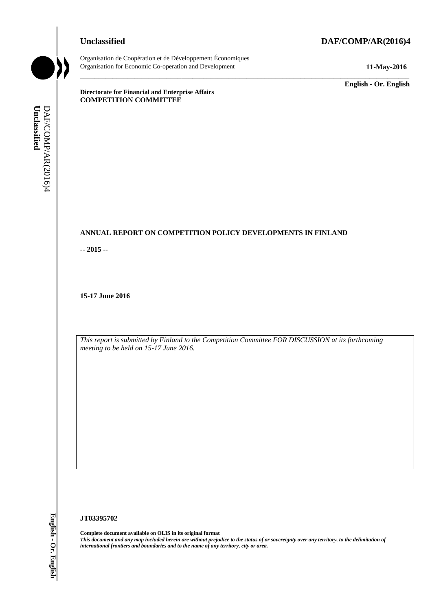## **Unclassified DAF/COMP/AR(2016)4**



Organisation de Coopération et de Développement Économiques Organisation for Economic Co-operation and Development **11-May-2016**

\_\_\_\_\_\_\_\_\_\_\_\_\_ **English - Or. English**

**Directorate for Financial and Enterprise Affairs COMPETITION COMMITTEE**

# **ANNUAL REPORT ON COMPETITION POLICY DEVELOPMENTS IN FINLAND**

\_\_\_\_\_\_\_\_\_\_\_\_\_\_\_\_\_\_\_\_\_\_\_\_\_\_\_\_\_\_\_\_\_\_\_\_\_\_\_\_\_\_\_\_\_\_\_\_\_\_\_\_\_\_\_\_\_\_\_\_\_\_\_\_\_\_\_\_\_\_\_\_\_\_\_\_\_\_\_\_\_\_\_\_\_\_\_\_\_\_\_

**-- 2015 --**

**15-17 June 2016**

*This report is submitted by Finland to the Competition Committee FOR DISCUSSION at its forthcoming meeting to be held on 15-17 June 2016.*

#### **JT03395702**

**Complete document available on OLIS in its original format** *This document and any map included herein are without prejudice to the status of or sovereignty over any territory, to the delimitation of*  **iii** *international frontiers and boundaries and boundaries and boundaries and or competition Committee metals of DAF/Competition Committee and to the name of any territory, city or area.<br> If the name of any territory t*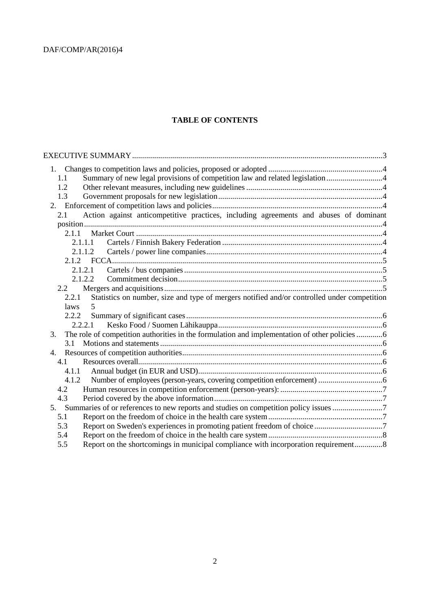## **TABLE OF CONTENTS**

| 1.1                                                                                                  |  |
|------------------------------------------------------------------------------------------------------|--|
| 1.2                                                                                                  |  |
| 1.3                                                                                                  |  |
|                                                                                                      |  |
| Action against anticompetitive practices, including agreements and abuses of dominant<br>2.1         |  |
|                                                                                                      |  |
|                                                                                                      |  |
| 2.1.1.1                                                                                              |  |
| 2.1.1.2                                                                                              |  |
|                                                                                                      |  |
| 2.1.2.1                                                                                              |  |
| 2.1.2.2                                                                                              |  |
| 2.2                                                                                                  |  |
| Statistics on number, size and type of mergers notified and/or controlled under competition<br>2.2.1 |  |
| <i>laws</i>                                                                                          |  |
|                                                                                                      |  |
| 2.2.2.1                                                                                              |  |
| The role of competition authorities in the formulation and implementation of other policies  6<br>3. |  |
| 3.1                                                                                                  |  |
|                                                                                                      |  |
| 4.1                                                                                                  |  |
| 4.1.1                                                                                                |  |
| 4.1.2                                                                                                |  |
| 4.2                                                                                                  |  |
| 4.3                                                                                                  |  |
| 5. Summaries of or references to new reports and studies on competition policy issues 7              |  |
| 5.1                                                                                                  |  |
| 5.3                                                                                                  |  |
| 5.4                                                                                                  |  |
| Report on the shortcomings in municipal compliance with incorporation requirement8<br>5.5            |  |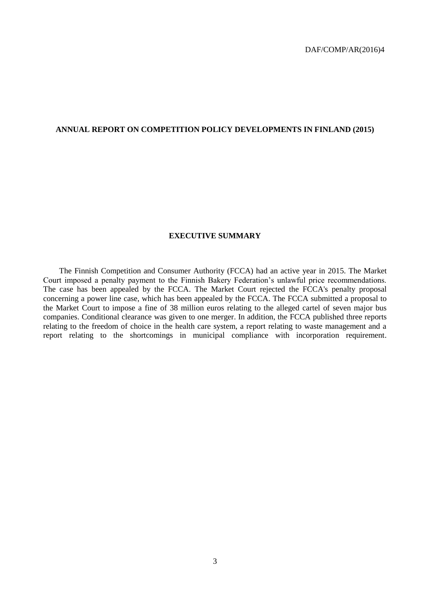#### **ANNUAL REPORT ON COMPETITION POLICY DEVELOPMENTS IN FINLAND (2015)**

#### **EXECUTIVE SUMMARY**

The Finnish Competition and Consumer Authority (FCCA) had an active year in 2015. The Market Court imposed a penalty payment to the Finnish Bakery Federation's unlawful price recommendations. The case has been appealed by the FCCA. The Market Court rejected the FCCA's penalty proposal concerning a power line case, which has been appealed by the FCCA. The FCCA submitted a proposal to the Market Court to impose a fine of 38 million euros relating to the alleged cartel of seven major bus companies. Conditional clearance was given to one merger. In addition, the FCCA published three reports relating to the freedom of choice in the health care system, a report relating to waste management and a report relating to the shortcomings in municipal compliance with incorporation requirement.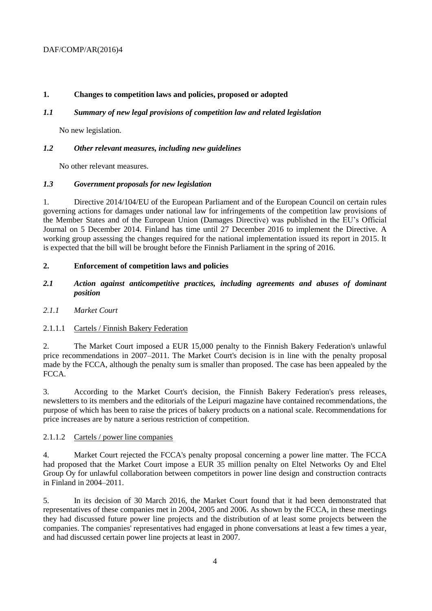## **1. Changes to competition laws and policies, proposed or adopted**

## *1.1 Summary of new legal provisions of competition law and related legislation*

No new legislation.

## *1.2 Other relevant measures, including new guidelines*

No other relevant measures.

## *1.3 Government proposals for new legislation*

1. Directive 2014/104/EU of the European Parliament and of the European Council on certain rules governing actions for damages under national law for infringements of the competition law provisions of the Member States and of the European Union (Damages Directive) was published in the EU's Official Journal on 5 December 2014. Finland has time until 27 December 2016 to implement the Directive. A working group assessing the changes required for the national implementation issued its report in 2015. It is expected that the bill will be brought before the Finnish Parliament in the spring of 2016.

# **2. Enforcement of competition laws and policies**

- *2.1 Action against anticompetitive practices, including agreements and abuses of dominant position*
- *2.1.1 Market Court*

# 2.1.1.1 Cartels / Finnish Bakery Federation

2. The Market Court imposed a EUR 15,000 penalty to the Finnish Bakery Federation's unlawful price recommendations in 2007–2011. The Market Court's decision is in line with the penalty proposal made by the FCCA, although the penalty sum is smaller than proposed. The case has been appealed by the FCCA.

3. According to the Market Court's decision, the Finnish Bakery Federation's press releases, newsletters to its members and the editorials of the Leipuri magazine have contained recommendations, the purpose of which has been to raise the prices of bakery products on a national scale. Recommendations for price increases are by nature a serious restriction of competition.

#### 2.1.1.2 Cartels / power line companies

4. Market Court rejected the FCCA's penalty proposal concerning a power line matter. The FCCA had proposed that the Market Court impose a EUR 35 million penalty on Eltel Networks Oy and Eltel Group Oy for unlawful collaboration between competitors in power line design and construction contracts in Finland in 2004–2011.

5. In its decision of 30 March 2016, the Market Court found that it had been demonstrated that representatives of these companies met in 2004, 2005 and 2006. As shown by the FCCA, in these meetings they had discussed future power line projects and the distribution of at least some projects between the companies. The companies' representatives had engaged in phone conversations at least a few times a year, and had discussed certain power line projects at least in 2007.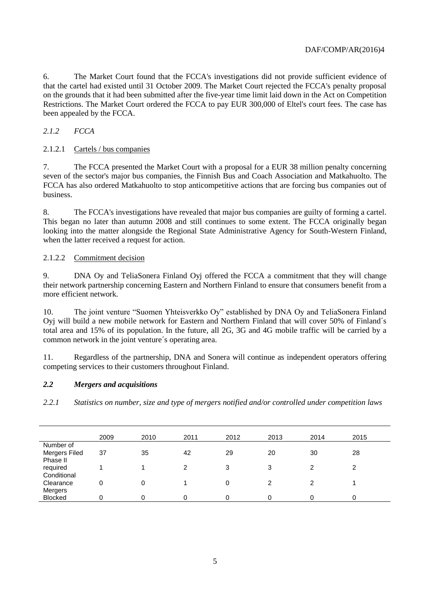6. The Market Court found that the FCCA's investigations did not provide sufficient evidence of that the cartel had existed until 31 October 2009. The Market Court rejected the FCCA's penalty proposal on the grounds that it had been submitted after the five-year time limit laid down in the Act on Competition Restrictions. The Market Court ordered the FCCA to pay EUR 300,000 of Eltel's court fees. The case has been appealed by the FCCA.

*2.1.2 FCCA*

## 2.1.2.1 Cartels / bus companies

7. The FCCA presented the Market Court with a proposal for a EUR 38 million penalty concerning seven of the sector's major bus companies, the Finnish Bus and Coach Association and Matkahuolto. The FCCA has also ordered Matkahuolto to stop anticompetitive actions that are forcing bus companies out of business.

8. The FCCA's investigations have revealed that major bus companies are guilty of forming a cartel. This began no later than autumn 2008 and still continues to some extent. The FCCA originally began looking into the matter alongside the Regional State Administrative Agency for South-Western Finland, when the latter received a request for action.

## 2.1.2.2 Commitment decision

9. DNA Oy and TeliaSonera Finland Oyj offered the FCCA a commitment that they will change their network partnership concerning Eastern and Northern Finland to ensure that consumers benefit from a more efficient network.

10. The joint venture "Suomen Yhteisverkko Oy" established by DNA Oy and TeliaSonera Finland Oyj will build a new mobile network for Eastern and Northern Finland that will cover 50% of Finland´s total area and 15% of its population. In the future, all 2G, 3G and 4G mobile traffic will be carried by a common network in the joint venture´s operating area.

11. Regardless of the partnership, DNA and Sonera will continue as independent operators offering competing services to their customers throughout Finland.

#### *2.2 Mergers and acquisitions*

*2.2.1 Statistics on number, size and type of mergers notified and/or controlled under competition laws*

|                | 2009 | 2010 | 2011 | 2012 | 2013 | 2014 | 2015 |
|----------------|------|------|------|------|------|------|------|
| Number of      |      |      |      |      |      |      |      |
| Mergers Filed  | 37   | 35   | 42   | 29   | 20   | 30   | 28   |
| Phase II       |      |      |      |      |      |      |      |
| required       |      |      | ົ    | 3    | 3    | ົ    | ◠    |
| Conditional    |      |      |      |      |      |      |      |
| Clearance      | 0    | 0    |      | 0    | ົ    | 2    |      |
| Mergers        |      |      |      |      |      |      |      |
| <b>Blocked</b> |      | 0    |      | 0    |      |      |      |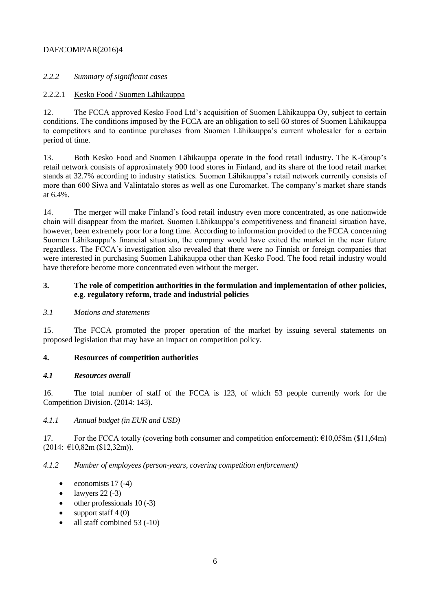## *2.2.2 Summary of significant cases*

#### 2.2.2.1 Kesko Food / Suomen Lähikauppa

12. The FCCA approved Kesko Food Ltd's acquisition of Suomen Lähikauppa Oy, subject to certain conditions. The conditions imposed by the FCCA are an obligation to sell 60 stores of Suomen Lähikauppa to competitors and to continue purchases from Suomen Lähikauppa's current wholesaler for a certain period of time.

13. Both Kesko Food and Suomen Lähikauppa operate in the food retail industry. The K-Group's retail network consists of approximately 900 food stores in Finland, and its share of the food retail market stands at 32.7% according to industry statistics. Suomen Lähikauppa's retail network currently consists of more than 600 Siwa and Valintatalo stores as well as one Euromarket. The company's market share stands at 6.4%.

14. The merger will make Finland's food retail industry even more concentrated, as one nationwide chain will disappear from the market. Suomen Lähikauppa's competitiveness and financial situation have, however, been extremely poor for a long time. According to information provided to the FCCA concerning Suomen Lähikauppa's financial situation, the company would have exited the market in the near future regardless. The FCCA's investigation also revealed that there were no Finnish or foreign companies that were interested in purchasing Suomen Lähikauppa other than Kesko Food. The food retail industry would have therefore become more concentrated even without the merger.

## **3. The role of competition authorities in the formulation and implementation of other policies, e.g. regulatory reform, trade and industrial policies**

#### *3.1 Motions and statements*

15. The FCCA promoted the proper operation of the market by issuing several statements on proposed legislation that may have an impact on competition policy.

#### **4. Resources of competition authorities**

#### *4.1 Resources overall*

16. The total number of staff of the FCCA is 123, of which 53 people currently work for the Competition Division. (2014: 143).

#### *4.1.1 Annual budget (in EUR and USD)*

17. For the FCCA totally (covering both consumer and competition enforcement): €10,058m (\$11,64m) (2014: €10,82m (\$12,32m)).

#### *4.1.2 Number of employees (person-years, covering competition enforcement)*

- $\bullet$  economists 17 (-4)
- $\bullet$  lawyers 22 (-3)
- $\bullet$  other professionals 10 (-3)
- support staff 4 (0)
- all staff combined 53 (-10)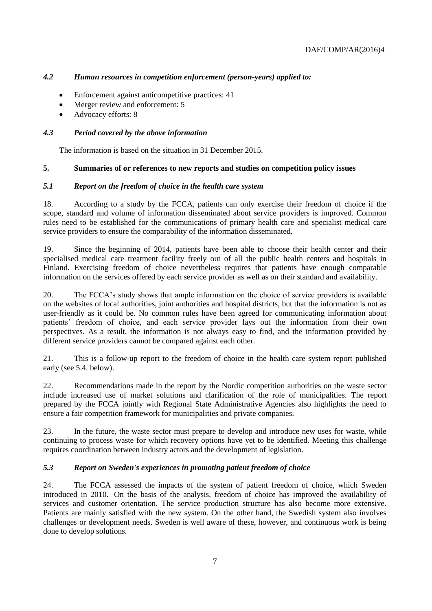# *4.2 Human resources in competition enforcement (person-years) applied to:*

- Enforcement against anticompetitive practices: 41
- Merger review and enforcement: 5
- Advocacy efforts: 8

#### *4.3 Period covered by the above information*

The information is based on the situation in 31 December 2015.

#### **5. Summaries of or references to new reports and studies on competition policy issues**

#### *5.1 Report on the freedom of choice in the health care system*

18. According to a study by the FCCA, patients can only exercise their freedom of choice if the scope, standard and volume of information disseminated about service providers is improved. Common rules need to be established for the communications of primary health care and specialist medical care service providers to ensure the comparability of the information disseminated.

19. Since the beginning of 2014, patients have been able to choose their health center and their specialised medical care treatment facility freely out of all the public health centers and hospitals in Finland. Exercising freedom of choice nevertheless requires that patients have enough comparable information on the services offered by each service provider as well as on their standard and availability.

20. The FCCA's study shows that ample information on the choice of service providers is available on the websites of local authorities, joint authorities and hospital districts, but that the information is not as user-friendly as it could be. No common rules have been agreed for communicating information about patients' freedom of choice, and each service provider lays out the information from their own perspectives. As a result, the information is not always easy to find, and the information provided by different service providers cannot be compared against each other.

21. This is a follow-up report to the freedom of choice in the health care system report published early (see 5.4. below).

22. Recommendations made in the report by the Nordic competition authorities on the waste sector include increased use of market solutions and clarification of the role of municipalities. The report prepared by the FCCA jointly with Regional State Administrative Agencies also highlights the need to ensure a fair competition framework for municipalities and private companies.

23. In the future, the waste sector must prepare to develop and introduce new uses for waste, while continuing to process waste for which recovery options have yet to be identified. Meeting this challenge requires coordination between industry actors and the development of legislation.

#### *5.3 Report on Sweden's experiences in promoting patient freedom of choice*

24. The FCCA assessed the impacts of the system of patient freedom of choice, which Sweden introduced in 2010. On the basis of the analysis, freedom of choice has improved the availability of services and customer orientation. The service production structure has also become more extensive. Patients are mainly satisfied with the new system. On the other hand, the Swedish system also involves challenges or development needs. Sweden is well aware of these, however, and continuous work is being done to develop solutions.